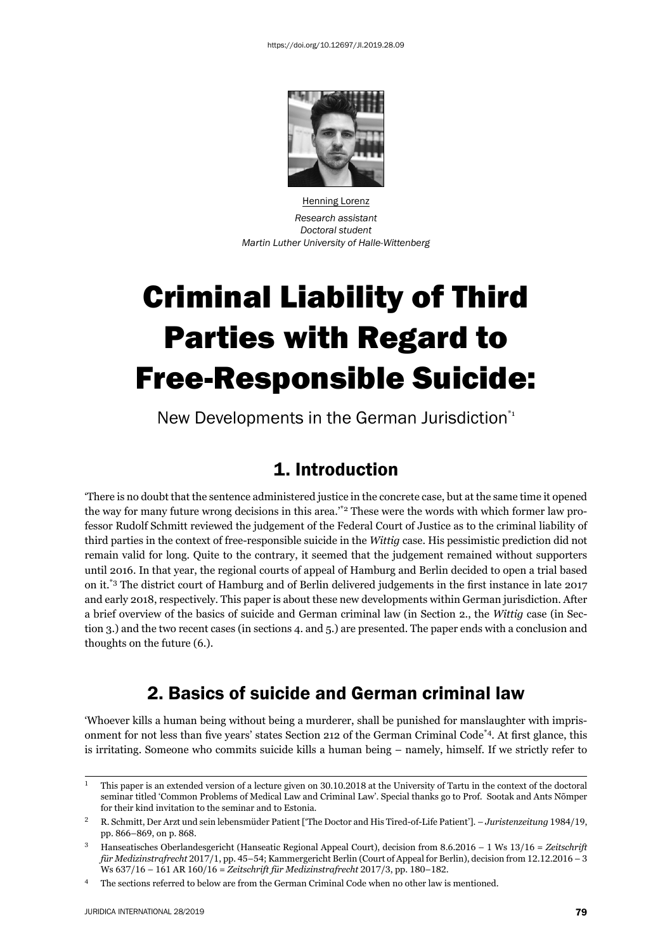

Henning Lorenz *Research assistant Doctoral student Martin Luther University of Halle-Wittenberg*

# Criminal Liability of Third Parties with Regard to Free-Responsible Suicide:

New Developments in the German Jurisdiction\*<sup>1</sup>

### 1. Introduction

'There is no doubt that the sentence administered justice in the concrete case, but at the same time it opened the way for many future wrong decisions in this area."<sup>\*2</sup> These were the words with which former law professor Rudolf Schmitt reviewed the judgement of the Federal Court of Justice as to the criminal liability of third parties in the context of free-responsible suicide in the *Wittig* case. His pessimistic prediction did not remain valid for long. Quite to the contrary, it seemed that the judgement remained without supporters until 2016. In that year, the regional courts of appeal of Hamburg and Berlin decided to open a trial based on it.<sup>\*3</sup> The district court of Hamburg and of Berlin delivered judgements in the first instance in late 2017 and early 2018, respectively. This paper is about these new developments within German jurisdiction. After a brief overview of the basics of suicide and German criminal law (in Section 2., the *Wittig* case (in Section 3.) and the two recent cases (in sections 4. and 5.) are presented. The paper ends with a conclusion and thoughts on the future (6.).

# 2. Basics of suicide and German criminal law

'Whoever kills a human being without being a murderer, shall be punished for manslaughter with imprisonment for not less than five years' states Section 212 of the German Criminal Code<sup>\*4</sup>. At first glance, this is irritating. Someone who commits suicide kills a human being – namely, himself. If we strictly refer to

 $^1$  This paper is an extended version of a lecture given on 30.10.2018 at the University of Tartu in the context of the doctoral seminar titled 'Common Problems of Medical Law and Criminal Law'. Special thanks go to Prof. Sootak and Ants Nõmper for their kind invitation to the seminar and to Estonia.

<sup>&</sup>lt;sup>2</sup> R. Schmitt, Der Arzt und sein lebensmüder Patient ['The Doctor and His Tired-of-Life Patient']. – *Juristenzeitung* 1984/19, pp. 866–869, on p. 868.

<sup>&</sup>lt;sup>3</sup> Hanseatisches Oberlandesgericht (Hanseatic Regional Appeal Court), decision from 8.6.2016 – 1 Ws 13/16 = Zeitschrift *für Medizinstrafrecht* 2017/1, pp. 45-54; Kammergericht Berlin (Court of Appeal for Berlin), decision from 12.12.2016 - 3 Ws 637/16 – 161 AR 160/16 = Zeitschrift für Medizinstrafrecht 2017/3, pp. 180-182.

<sup>&</sup>lt;sup>4</sup> The sections referred to below are from the German Criminal Code when no other law is mentioned.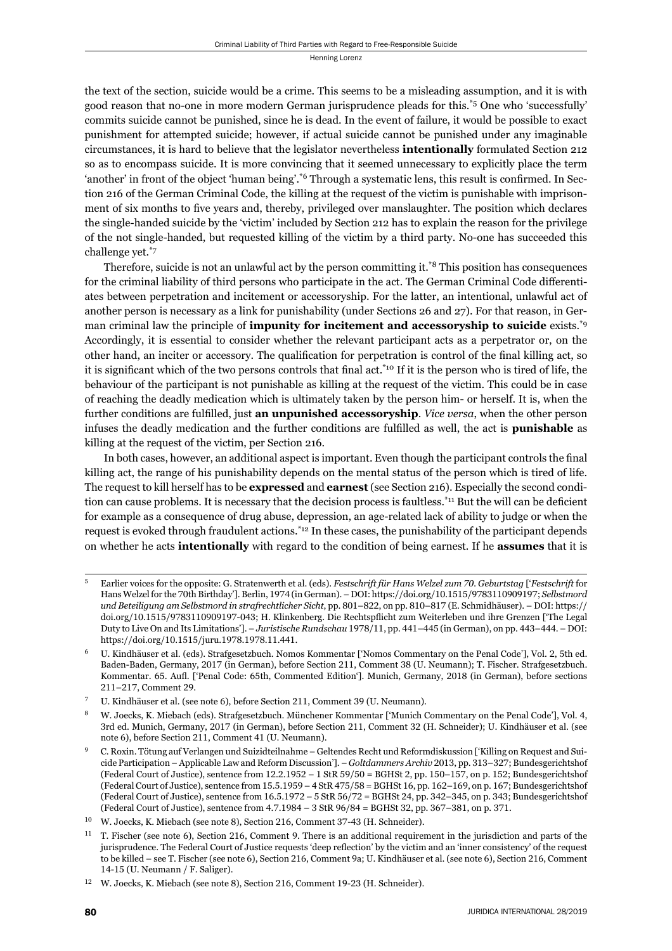the text of the section, suicide would be a crime. This seems to be a misleading assumption, and it is with good reason that no-one in more modern German jurisprudence pleads for this.\*5 One who 'successfully' commits suicide cannot be punished, since he is dead. In the event of failure, it would be possible to exact punishment for attempted suicide; however, if actual suicide cannot be punished under any imaginable circumstances, it is hard to believe that the legislator nevertheless **intentionally** formulated Section 212 so as to encompass suicide. It is more convincing that it seemed unnecessary to explicitly place the term 'another' in front of the object 'human being'.<sup>\*6</sup> Through a systematic lens, this result is confirmed. In Section 216 of the German Criminal Code, the killing at the request of the victim is punishable with imprisonment of six months to five years and, thereby, privileged over manslaughter. The position which declares the single-handed suicide by the 'victim' included by Section 212 has to explain the reason for the privilege of the not single-handed, but requested killing of the victim by a third party. No-one has succeeded this challenge yet.\*7

Therefore, suicide is not an unlawful act by the person committing it.\*8 This position has consequences for the criminal liability of third persons who participate in the act. The German Criminal Code differentiates between perpetration and incitement or accessoryship. For the latter, an intentional, unlawful act of another person is necessary as a link for punishability (under Sections 26 and 27). For that reason, in German criminal law the principle of **impunity for incitement and accessoryship to suicide** exists.\*9 Accordingly, it is essential to consider whether the relevant participant acts as a perpetrator or, on the other hand, an inciter or accessory. The qualification for perpetration is control of the final killing act, so it is significant which of the two persons controls that final act.<sup>\*10</sup> If it is the person who is tired of life, the behaviour of the participant is not punishable as killing at the request of the victim. This could be in case of reaching the deadly medication which is ultimately taken by the person him- or herself. It is, when the further conditions are fulfilled, just **an unpunished accessoryship**. *Vice versa*, when the other person infuses the deadly medication and the further conditions are fulfilled as well, the act is **punishable** as killing at the request of the victim, per Section 216.

In both cases, however, an additional aspect is important. Even though the participant controls the final killing act, the range of his punishability depends on the mental status of the person which is tired of life. The request to kill herself has to be **expressed** and **earnest** (see Section 216). Especially the second condition can cause problems. It is necessary that the decision process is faultless.<sup>\*11</sup> But the will can be deficient for example as a consequence of drug abuse, depression, an age-related lack of ability to judge or when the request is evoked through fraudulent actions.\*12 In these cases, the punishability of the participant depends on whether he acts **intentionally** with regard to the condition of being earnest. If he **assumes** that it is

<sup>ɶ</sup> Earlier voices for the opposite: G. Stratenwerth et al. (eds). *Festschrift für Hans Welzel zum ɸɱ. Geburtstag* ['*Festschrift* for Hans Welzel for the 70th Birthday']. Berlin, 1974 (in German). – DOI: https://doi.org/10.1515/9783110909197; *Selbstmord und Beteiligung am Selbstmord in strafrechtlicher Sicht*, pp. 801–822, on pp. 810–817 (E. Schmidhäuser). – DOI: https:// doi.org/10.1515/9783110909197-043; H. Klinkenberg. Die Rechtspflicht zum Weiterleben und ihre Grenzen ['The Legal Duty to Live On and Its Limitations']. – *Juristische Rundschau* 1978/11, pp. 441–445 (in German), on pp. 443–444. – DOI: https://doi.org/10.1515/juru.1978.1978.11.441.

U. Kindhäuser et al. (eds). Strafgesetzbuch. Nomos Kommentar ['Nomos Commentary on the Penal Code'], Vol. 2, 5th ed. Baden-Baden, Germany, 2017 (in German), before Section 211, Comment 38 (U. Neumann); T. Fischer. Strafgesetzbuch. Kommentar. 65. Aufl. ['Penal Code: 65th, Commented Edition']. Munich, Germany, 2018 (in German), before sections 211-217, Comment 29.

U. Kindhäuser et al. (see note 6), before Section 211, Comment 39 (U. Neumann).

W. Joecks, K. Miebach (eds). Strafgesetzbuch. Münchener Kommentar ['Munich Commentary on the Penal Code'], Vol. 4, 3rd ed. Munich, Germany, 2017 (in German), before Section 211, Comment 32 (H. Schneider); U. Kindhäuser et al. (see note 6), before Section 211, Comment 41 (U. Neumann).

ɺ C. Roxin. Tötung auf Verlangen und Suizidteilnahme – Geltendes Recht und Reformdiskussion ['Killing on Request and Suicide Participation – Applicable Law and Reform Discussion']. – *Goltdammers Archiv* 2013, pp. 313–327; Bundesgerichtshof (Federal Court of Justice), sentence from  $12.2.1952 - 1$  StR  $59/50 = BGHSt 2$ , pp.  $150-157$ , on p. 152; Bundesgerichtshof (Federal Court of Justice), sentence from  $15.5.1959 - 4$  StR  $475/58 =$  BGHSt  $16$ , pp.  $162-169$ , on p.  $167$ ; Bundesgerichtshof (Federal Court of Justice), sentence from 16.5.1972 – 5 StR 56/72 = BGHSt 24, pp. 342–345, on p. 343; Bundesgerichtshof (Federal Court of Justice), sentence from  $4.7.1984 - 3$  StR  $96/84 =$  BGHSt 32, pp. 367–381, on p. 371.

<sup>&</sup>lt;sup>10</sup> W. Joecks, K. Miebach (see note 8), Section 216, Comment 37-43 (H. Schneider).

 $11$  T. Fischer (see note 6), Section 216, Comment 9. There is an additional requirement in the jurisdiction and parts of the jurisprudence. The Federal Court of Justice requests 'deep reflection' by the victim and an 'inner consistency' of the request to be killed – see T. Fischer (see note 6), Section 216, Comment 9a; U. Kindhäuser et al. (see note 6), Section 216, Comment 14-15 (U. Neumann / F. Saliger).

<sup>&</sup>lt;sup>12</sup> W. Joecks, K. Miebach (see note 8), Section 216, Comment 19-23 (H. Schneider).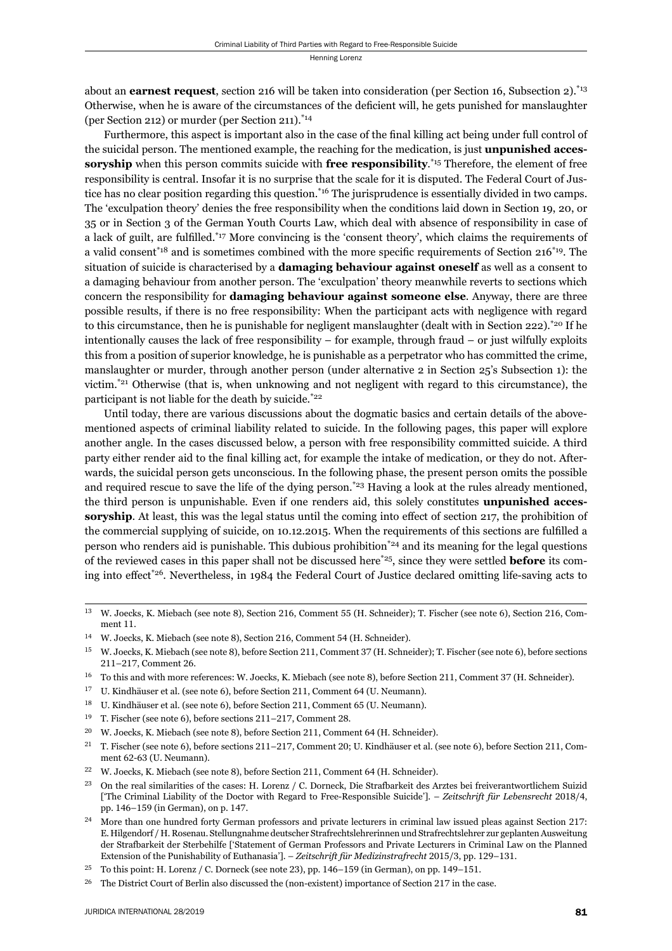about an **earnest request**, section 216 will be taken into consideration (per Section 16, Subsection 2).\*13 Otherwise, when he is aware of the circumstances of the deficient will, he gets punished for manslaughter (per Section 212) or murder (per Section 211).\*14

Furthermore, this aspect is important also in the case of the final killing act being under full control of the suicidal person. The mentioned example, the reaching for the medication, is just **unpunished accessoryship** when this person commits suicide with **free responsibility**. \*15 Therefore, the element of free responsibility is central. Insofar it is no surprise that the scale for it is disputed. The Federal Court of Justice has no clear position regarding this question.\*16 The jurisprudence is essentially divided in two camps. The 'exculpation theory' denies the free responsibility when the conditions laid down in Section 19, 20, or 35 or in Section 3 of the German Youth Courts Law, which deal with absence of responsibility in case of a lack of guilt, are fulfilled.\*17 More convincing is the 'consent theory', which claims the requirements of a valid consent<sup>\*18</sup> and is sometimes combined with the more specific requirements of Section  $216^{*19}$ . The situation of suicide is characterised by a **damaging behaviour against oneself** as well as a consent to a damaging behaviour from another person. The 'exculpation' theory meanwhile reverts to sections which concern the responsibility for **damaging behaviour against someone else**. Anyway, there are three possible results, if there is no free responsibility: When the participant acts with negligence with regard to this circumstance, then he is punishable for negligent manslaughter (dealt with in Section 222).<sup>\*20</sup> If he intentionally causes the lack of free responsibility – for example, through fraud – or just wilfully exploits this from a position of superior knowledge, he is punishable as a perpetrator who has committed the crime, manslaughter or murder, through another person (under alternative 2 in Section 25's Subsection 1): the victim.\*21 Otherwise (that is, when unknowing and not negligent with regard to this circumstance), the participant is not liable for the death by suicide.\*22

Until today, there are various discussions about the dogmatic basics and certain details of the abovementioned aspects of criminal liability related to suicide. In the following pages, this paper will explore another angle. In the cases discussed below, a person with free responsibility committed suicide. A third party either render aid to the final killing act, for example the intake of medication, or they do not. Afterwards, the suicidal person gets unconscious. In the following phase, the present person omits the possible and required rescue to save the life of the dying person.<sup>\*23</sup> Having a look at the rules already mentioned, the third person is unpunishable. Even if one renders aid, this solely constitutes **unpunished accessoryship**. At least, this was the legal status until the coming into effect of section 217, the prohibition of the commercial supplying of suicide, on 10.12.2015. When the requirements of this sections are fulfilled a person who renders aid is punishable. This dubious prohibition\*24 and its meaning for the legal questions of the reviewed cases in this paper shall not be discussed here\*25, since they were settled **before** its coming into effect<sup>\*26</sup>. Nevertheless, in 1984 the Federal Court of Justice declared omitting life-saving acts to

- <sup>18</sup> U. Kindhäuser et al. (see note 6), before Section 211, Comment 65 (U. Neumann).
- $^{19}$  T. Fischer (see note 6), before sections 211-217, Comment 28.
- <sup>20</sup> W. Joecks, K. Miebach (see note 8), before Section 211, Comment 64 (H. Schneider).

- <sup>22</sup> W. Joecks, K. Miebach (see note 8), before Section 211, Comment 64 (H. Schneider).
- <sup>23</sup> On the real similarities of the cases: H. Lorenz / C. Dorneck, Die Strafbarkeit des Arztes bei freiverantwortlichem Suizid ['The Criminal Liability of the Doctor with Regard to Free-Responsible Suicide']. – Zeitschrift für Lebensrecht 2018/4, pp. 146-159 (in German), on p. 147.
- <sup>24</sup> More than one hundred forty German professors and private lecturers in criminal law issued pleas against Section 217: E. Hilgendorf / H. Rosenau. Stellungnahme deutscher Strafrechtslehrerinnen und Strafrechtslehrer zur geplanten Ausweitung der Strafbarkeit der Sterbehilfe ['Statement of German Professors and Private Lecturers in Criminal Law on the Planned Extension of the Punishability of Euthanasia']. – Zeitschrift für Medizinstrafrecht 2015/3, pp. 129-131.

<sup>&</sup>lt;sup>13</sup> W. Joecks, K. Miebach (see note 8), Section 216, Comment 55 (H. Schneider); T. Fischer (see note 6), Section 216, Comment 11.

<sup>&</sup>lt;sup>14</sup> W. Joecks, K. Miebach (see note 8), Section 216, Comment 54 (H. Schneider).

<sup>&</sup>lt;sup>15</sup> W. Joecks, K. Miebach (see note 8), before Section 211, Comment 37 (H. Schneider); T. Fischer (see note 6), before sections 211-217, Comment 26.

 $^{16}$  To this and with more references: W. Joecks, K. Miebach (see note 8), before Section 211, Comment 37 (H. Schneider).

<sup>&</sup>lt;sup>17</sup> U. Kindhäuser et al. (see note 6), before Section 211, Comment 64 (U. Neumann).

<sup>&</sup>lt;sup>21</sup> T. Fischer (see note 6), before sections 211–217, Comment 20; U. Kindhäuser et al. (see note 6), before Section 211, Comment 62-63 (U. Neumann).

To this point: H. Lorenz / C. Dorneck (see note 23), pp. 146-159 (in German), on pp. 149-151.

<sup>&</sup>lt;sup>26</sup> The District Court of Berlin also discussed the (non-existent) importance of Section 217 in the case.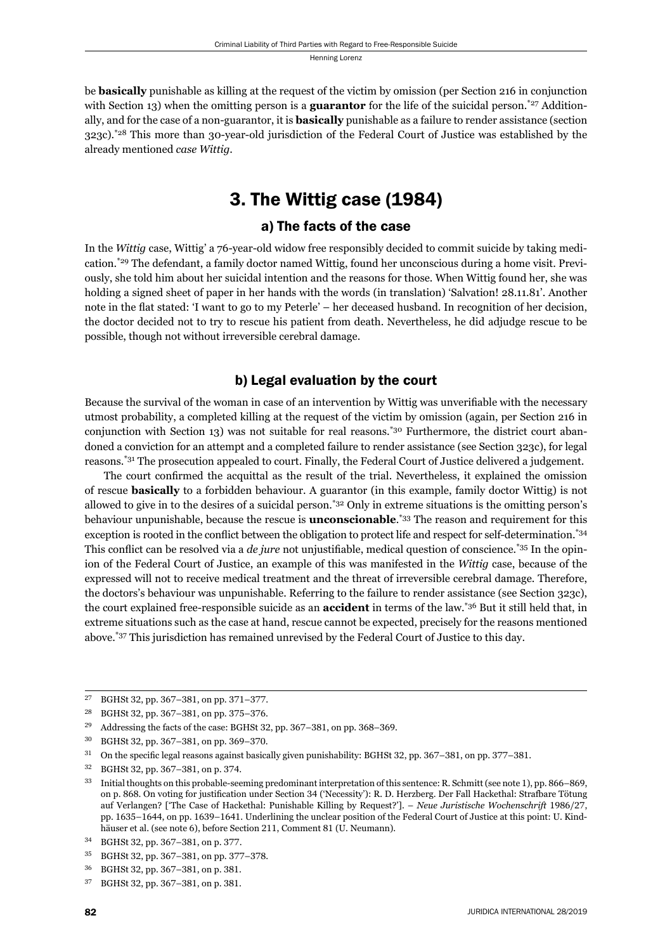be **basically** punishable as killing at the request of the victim by omission (per Section 216 in conjunction with Section 13) when the omitting person is a **guarantor** for the life of the suicidal person.\*<sup>27</sup> Additionally, and for the case of a non-guarantor, it is **basically** punishable as a failure to render assistance (section 323c).\*28 This more than 30-year-old jurisdiction of the Federal Court of Justice was established by the already mentioned *case Wittig*.

# 3. The Wittig case (1984)

### a) The facts of the case

In the *Wittig* case, Wittig' a 76-year-old widow free responsibly decided to commit suicide by taking medication.\*29 The defendant, a family doctor named Wittig, found her unconscious during a home visit. Previously, she told him about her suicidal intention and the reasons for those. When Wittig found her, she was holding a signed sheet of paper in her hands with the words (in translation) 'Salvation! 28.11.81'. Another note in the flat stated: 'I want to go to my Peterle' – her deceased husband. In recognition of her decision, the doctor decided not to try to rescue his patient from death. Nevertheless, he did adjudge rescue to be possible, though not without irreversible cerebral damage.

### b) Legal evaluation by the court

Because the survival of the woman in case of an intervention by Wittig was unverifiable with the necessary utmost probability, a completed killing at the request of the victim by omission (again, per Section 216 in conjunction with Section 13) was not suitable for real reasons.<sup>\*30</sup> Furthermore, the district court abandoned a conviction for an attempt and a completed failure to render assistance (see Section 323c), for legal reasons.\*31 The prosecution appealed to court. Finally, the Federal Court of Justice delivered a judgement.

The court confirmed the acquittal as the result of the trial. Nevertheless, it explained the omission of rescue **basically** to a forbidden behaviour. A guarantor (in this example, family doctor Wittig) is not allowed to give in to the desires of a suicidal person.\*32 Only in extreme situations is the omitting person's behaviour unpunishable, because the rescue is **unconscionable**. \*33 The reason and requirement for this exception is rooted in the conflict between the obligation to protect life and respect for self-determination.\*34 This conflict can be resolved via a *de jure* not unjustifiable, medical question of conscience.\*35 In the opinion of the Federal Court of Justice, an example of this was manifested in the *Wittig* case, because of the expressed will not to receive medical treatment and the threat of irreversible cerebral damage. Therefore, the doctors's behaviour was unpunishable. Referring to the failure to render assistance (see Section 323c), the court explained free-responsible suicide as an **accident** in terms of the law.\*36 But it still held that, in extreme situations such as the case at hand, rescue cannot be expected, precisely for the reasons mentioned above.\*37 This jurisdiction has remained unrevised by the Federal Court of Justice to this day.

 $^{27}$  BGHSt 32, pp. 367–381, on pp. 371–377.

<sup>&</sup>lt;sup>28</sup> BGHSt 32, pp. 367–381, on pp. 375–376.

<sup>&</sup>lt;sup>29</sup> Addressing the facts of the case: BGHSt 32, pp. 367-381, on pp. 368-369.

<sup>30</sup> BGHSt 32, pp. 367-381, on pp. 369-370.

 $31$  On the specific legal reasons against basically given punishability: BGHSt 32, pp. 367–381, on pp. 377–381.

<sup>32</sup> BGHSt 32, pp. 367-381, on p. 374.

<sup>&</sup>lt;sup>33</sup> Initial thoughts on this probable-seeming predominant interpretation of this sentence: R. Schmitt (see note 1), pp. 866–869, on p. 868. On voting for justification under Section 34 ('Necessity'): R. D. Herzberg. Der Fall Hackethal: Strafbare Tötung auf Verlangen? ['The Case of Hackethal: Punishable Killing by Request?']. – *Neue Juristische Wochenschrift* 1986/27, pp. 1635–1644, on pp. 1639–1641. Underlining the unclear position of the Federal Court of Justice at this point: U. Kindhäuser et al. (see note 6), before Section 211, Comment 81 (U. Neumann).

<sup>34</sup> BGHSt 32, pp. 367-381, on p. 377.

<sup>35</sup> BGHSt 32, pp. 367-381, on pp. 377-378.

<sup>36</sup> BGHSt 32, pp. 367-381, on p. 381.

<sup>37</sup> BGHSt 32, pp. 367-381, on p. 381.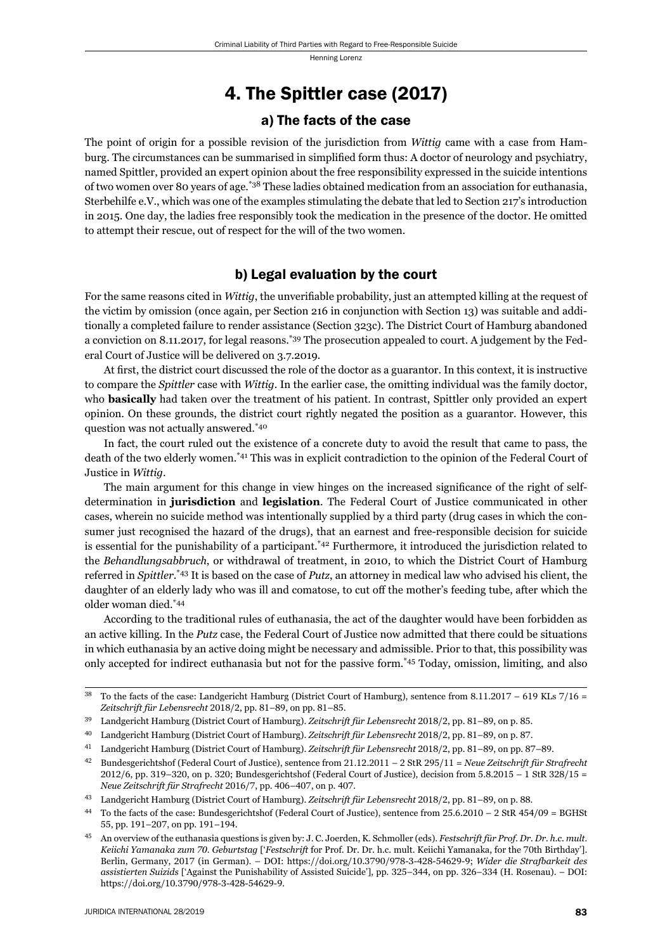### 4. The Spittler case (2017)

#### a) The facts of the case

The point of origin for a possible revision of the jurisdiction from *Wittig* came with a case from Hamburg. The circumstances can be summarised in simplified form thus: A doctor of neurology and psychiatry, named Spittler, provided an expert opinion about the free responsibility expressed in the suicide intentions of two women over 80 years of age.\*38 These ladies obtained medication from an association for euthanasia, Sterbehilfe e.V., which was one of the examples stimulating the debate that led to Section 217's introduction in 2015. One day, the ladies free responsibly took the medication in the presence of the doctor. He omitted to attempt their rescue, out of respect for the will of the two women.

#### b) Legal evaluation by the court

For the same reasons cited in *Wittig*, the unverifiable probability, just an attempted killing at the request of the victim by omission (once again, per Section 216 in conjunction with Section 13) was suitable and additionally a completed failure to render assistance (Section 323c). The District Court of Hamburg abandoned a conviction on 8.11.2017, for legal reasons.\*39 The prosecution appealed to court. A judgement by the Federal Court of Justice will be delivered on 3.7.2019.

At first, the district court discussed the role of the doctor as a guarantor. In this context, it is instructive to compare the *Spittler* case with *Wittig*. In the earlier case, the omitting individual was the family doctor, who **basically** had taken over the treatment of his patient. In contrast, Spittler only provided an expert opinion. On these grounds, the district court rightly negated the position as a guarantor. However, this question was not actually answered.\*40

In fact, the court ruled out the existence of a concrete duty to avoid the result that came to pass, the death of the two elderly women.\*41 This was in explicit contradiction to the opinion of the Federal Court of Justice in *Wittig*.

The main argument for this change in view hinges on the increased significance of the right of selfdetermination in **jurisdiction** and **legislation**. The Federal Court of Justice communicated in other cases, wherein no suicide method was intentionally supplied by a third party (drug cases in which the consumer just recognised the hazard of the drugs), that an earnest and free-responsible decision for suicide is essential for the punishability of a participant.\*42 Furthermore, it introduced the jurisdiction related to the *Behandlungsabbruch*, or withdrawal of treatment, in 2010, to which the District Court of Hamburg referred in *Spittler*. \*43 It is based on the case of *Putz*, an attorney in medical law who advised his client, the daughter of an elderly lady who was ill and comatose, to cut off the mother's feeding tube, after which the older woman died.\*44

According to the traditional rules of euthanasia, the act of the daughter would have been forbidden as an active killing. In the *Putz* case, the Federal Court of Justice now admitted that there could be situations in which euthanasia by an active doing might be necessary and admissible. Prior to that, this possibility was only accepted for indirect euthanasia but not for the passive form.\*45 Today, omission, limiting, and also

 $38$  To the facts of the case: Landgericht Hamburg (District Court of Hamburg), sentence from 8.11.2017 – 619 KLs  $7/16 =$ Zeitschrift für Lebensrecht 2018/2, pp. 81–89, on pp. 81–85.

<sup>&</sup>lt;sup>39</sup> Landgericht Hamburg (District Court of Hamburg). Zeitschrift für Lebensrecht 2018/2, pp. 81–89, on p. 85.

<sup>&</sup>lt;sup>40</sup> Landgericht Hamburg (District Court of Hamburg). Zeitschrift für Lebensrecht 2018/2, pp. 81–89, on p. 87.

<sup>&</sup>lt;sup>41</sup> Landgericht Hamburg (District Court of Hamburg). Zeitschrift für Lebensrecht 2018/2, pp. 81–89, on pp. 87–89.

ɵɳ Bundesgerichtshof (Federal Court of Justice), sentence from ɳɲ.ɲɳ.ɳɱɲɲ – ɳ StR ɳɺɶ/ɲɲ = *Neue Zeitschrift für Strafrecht*  $2012/6$ , pp. 319–320, on p. 320; Bundesgerichtshof (Federal Court of Justice), decision from  $5.8.2015 - 1$  StR  $328/15 =$ *Neue Zeitschrift für Strafrecht* 2016/7, pp. 406–407, on p. 407.

<sup>&</sup>lt;sup>43</sup> Landgericht Hamburg (District Court of Hamburg). Zeitschrift für Lebensrecht 2018/2, pp. 81–89, on p. 88.

<sup>&</sup>lt;sup>44</sup> To the facts of the case: Bundesgerichtshof (Federal Court of Justice), sentence from 25.6.2010 – 2 StR 454/09 = BGHSt 55, pp. 191-207, on pp. 191-194.

ɵɶ An overview of the euthanasia questions is given by: J. C. Joerden, K. Schmoller (eds). *Festschrift für Prof. Dr. Dr. h.c. mult. Keiichi Yamanaka zum 70. Geburtstag* ['*Festschrift* for Prof. Dr. Dr. h.c. mult. Keiichi Yamanaka, for the 70th Birthday']. Berlin, Germany, 2017 (in German). – DOI: https://doi.org/10.3790/978-3-428-54629-9; Wider die Strafbarkeit des assistierten Suizids ['Against the Punishability of Assisted Suicide'], pp. 325-344, on pp. 326-334 (H. Rosenau). - DOI: https://doi.org/10.3790/978-3-428-54629-9.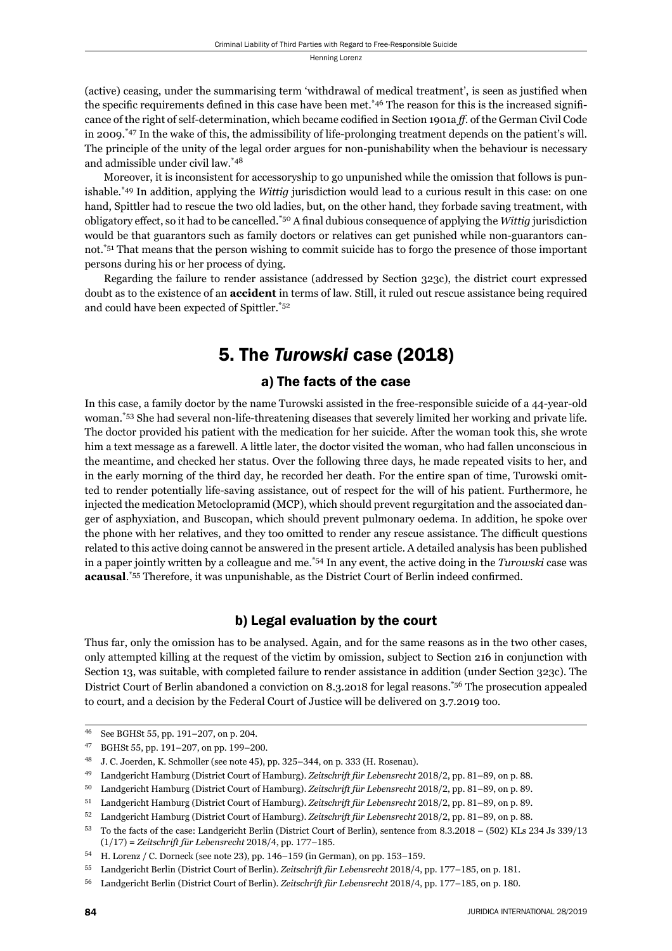(active) ceasing, under the summarising term 'withdrawal of medical treatment', is seen as justified when the specific requirements defined in this case have been met.<sup>\*46</sup> The reason for this is the increased significance of the right of self-determination, which became codified in Section 1901a *ff*. of the German Civil Code in 2009.\*47 In the wake of this, the admissibility of life-prolonging treatment depends on the patient's will. The principle of the unity of the legal order argues for non-punishability when the behaviour is necessary and admissible under civil law.\*48

Moreover, it is inconsistent for accessoryship to go unpunished while the omission that follows is punishable.\*49 In addition, applying the *Wittig* jurisdiction would lead to a curious result in this case: on one hand, Spittler had to rescue the two old ladies, but, on the other hand, they forbade saving treatment, with obligatory effect, so it had to be cancelled.<sup>\*50</sup> A final dubious consequence of applying the *Wittig* jurisdiction would be that guarantors such as family doctors or relatives can get punished while non-guarantors cannot.\*51 That means that the person wishing to commit suicide has to forgo the presence of those important persons during his or her process of dying.

Regarding the failure to render assistance (addressed by Section 323c), the district court expressed doubt as to the existence of an **accident** in terms of law. Still, it ruled out rescue assistance being required and could have been expected of Spittler.\*52

# 5. The *Turowski* case (2018)

### a) The facts of the case

In this case, a family doctor by the name Turowski assisted in the free-responsible suicide of a 44-year-old woman.\*53 She had several non-life-threatening diseases that severely limited her working and private life. The doctor provided his patient with the medication for her suicide. After the woman took this, she wrote him a text message as a farewell. A little later, the doctor visited the woman, who had fallen unconscious in the meantime, and checked her status. Over the following three days, he made repeated visits to her, and in the early morning of the third day, he recorded her death. For the entire span of time, Turowski omitted to render potentially life-saving assistance, out of respect for the will of his patient. Furthermore, he injected the medication Metoclopramid (MCP), which should prevent regurgitation and the associated danger of asphyxiation, and Buscopan, which should prevent pulmonary oedema. In addition, he spoke over the phone with her relatives, and they too omitted to render any rescue assistance. The difficult questions related to this active doing cannot be answered in the present article. A detailed analysis has been published in a paper jointly written by a colleague and me.\*54 In any event, the active doing in the *Turowski* case was **acausal.**<sup>\*55</sup> Therefore, it was unpunishable, as the District Court of Berlin indeed confirmed.

### b) Legal evaluation by the court

Thus far, only the omission has to be analysed. Again, and for the same reasons as in the two other cases, only attempted killing at the request of the victim by omission, subject to Section 216 in conjunction with Section 13, was suitable, with completed failure to render assistance in addition (under Section 323c). The District Court of Berlin abandoned a conviction on 8.3.2018 for legal reasons.\*56 The prosecution appealed to court, and a decision by the Federal Court of Justice will be delivered on 3.7.2019 too.

<sup>&</sup>lt;sup>46</sup> See BGHSt 55, pp. 191-207, on p. 204.

<sup>47</sup> BGHSt 55, pp. 191-207, on pp. 199-200.

<sup>&</sup>lt;sup>48</sup> J. C. Joerden, K. Schmoller (see note 45), pp. 325-344, on p. 333 (H. Rosenau).

<sup>&</sup>lt;sup>49</sup> Landgericht Hamburg (District Court of Hamburg). Zeitschrift für Lebensrecht 2018/2, pp. 81–89, on p. 88.

<sup>&</sup>lt;sup>50</sup> Landgericht Hamburg (District Court of Hamburg). Zeitschrift für Lebensrecht 2018/2, pp. 81–89, on p. 89.

 $51$  Landgericht Hamburg (District Court of Hamburg). Zeitschrift für Lebensrecht 2018/2, pp. 81–89, on p. 89.

 $^{52}$  Landgericht Hamburg (District Court of Hamburg). *Zeitschrift für Lebensrecht* 2018/2, pp. 81–89, on p. 88.

<sup>53</sup> To the facts of the case: Landgericht Berlin (District Court of Berlin), sentence from 8.3.2018 – (502) KLs 234 Js 339/13 (1/17) = Zeitschrift für Lebensrecht 2018/4, pp. 177-185.

 $54$  H. Lorenz / C. Dorneck (see note 23), pp. 146–159 (in German), on pp. 153–159.

<sup>55</sup> Landgericht Berlin (District Court of Berlin). Zeitschrift für Lebensrecht 2018/4, pp. 177-185, on p. 181.

<sup>&</sup>lt;sup>56</sup> Landgericht Berlin (District Court of Berlin). *Zeitschrift für Lebensrecht* 2018/4, pp. 177–185, on p. 180.